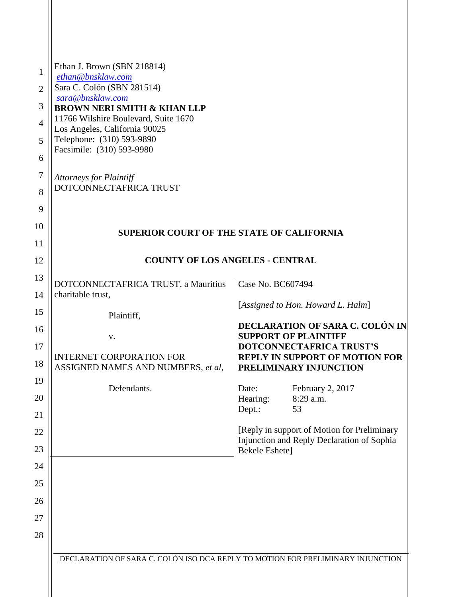| 1<br>$\overline{2}$<br>3<br>$\overline{4}$<br>5<br>6<br>7<br>8<br>9<br>10 | Ethan J. Brown (SBN 218814)<br>ethan@bnsklaw.com<br>Sara C. Colón (SBN 281514)<br>sara@bnsklaw.com<br><b>BROWN NERI SMITH &amp; KHAN LLP</b><br>11766 Wilshire Boulevard, Suite 1670<br>Los Angeles, California 90025<br>Telephone: (310) 593-9890<br>Facsimile: (310) 593-9980<br><b>Attorneys for Plaintiff</b><br>DOTCONNECTAFRICA TRUST<br><b>SUPERIOR COURT OF THE STATE OF CALIFORNIA</b> |                                                                                                             |
|---------------------------------------------------------------------------|-------------------------------------------------------------------------------------------------------------------------------------------------------------------------------------------------------------------------------------------------------------------------------------------------------------------------------------------------------------------------------------------------|-------------------------------------------------------------------------------------------------------------|
| 11                                                                        |                                                                                                                                                                                                                                                                                                                                                                                                 |                                                                                                             |
| 12                                                                        | <b>COUNTY OF LOS ANGELES - CENTRAL</b>                                                                                                                                                                                                                                                                                                                                                          |                                                                                                             |
| 13                                                                        | DOTCONNECTAFRICA TRUST, a Mauritius<br>charitable trust,                                                                                                                                                                                                                                                                                                                                        | Case No. BC607494                                                                                           |
| 14                                                                        |                                                                                                                                                                                                                                                                                                                                                                                                 | [Assigned to Hon. Howard L. Halm]                                                                           |
| 15<br>16                                                                  | Plaintiff,                                                                                                                                                                                                                                                                                                                                                                                      | DECLARATION OF SARA C. COLÓN IN                                                                             |
| 17                                                                        | V.                                                                                                                                                                                                                                                                                                                                                                                              | <b>SUPPORT OF PLAINTIFF</b><br>DOTCONNECTAFRICA TRUST'S                                                     |
| 18                                                                        | <b>INTERNET CORPORATION FOR</b><br>ASSIGNED NAMES AND NUMBERS, et al,                                                                                                                                                                                                                                                                                                                           | <b>REPLY IN SUPPORT OF MOTION FOR</b><br>PRELIMINARY INJUNCTION                                             |
| 19                                                                        | Defendants.                                                                                                                                                                                                                                                                                                                                                                                     | February 2, 2017<br>Date:                                                                                   |
| 20                                                                        |                                                                                                                                                                                                                                                                                                                                                                                                 | Hearing:<br>8:29 a.m.<br>53                                                                                 |
| 21                                                                        |                                                                                                                                                                                                                                                                                                                                                                                                 | Dept.:                                                                                                      |
| 22<br>23                                                                  |                                                                                                                                                                                                                                                                                                                                                                                                 | [Reply in support of Motion for Preliminary<br>Injunction and Reply Declaration of Sophia<br>Bekele Eshete] |
| 24                                                                        |                                                                                                                                                                                                                                                                                                                                                                                                 |                                                                                                             |
| 25                                                                        |                                                                                                                                                                                                                                                                                                                                                                                                 |                                                                                                             |
| 26                                                                        |                                                                                                                                                                                                                                                                                                                                                                                                 |                                                                                                             |
| 27                                                                        |                                                                                                                                                                                                                                                                                                                                                                                                 |                                                                                                             |
| 28                                                                        |                                                                                                                                                                                                                                                                                                                                                                                                 |                                                                                                             |
|                                                                           | DECLARATION OF SARA C. COLÓN ISO DCA REPLY TO MOTION FOR PRELIMINARY INJUNCTION                                                                                                                                                                                                                                                                                                                 |                                                                                                             |
|                                                                           |                                                                                                                                                                                                                                                                                                                                                                                                 |                                                                                                             |
|                                                                           |                                                                                                                                                                                                                                                                                                                                                                                                 |                                                                                                             |